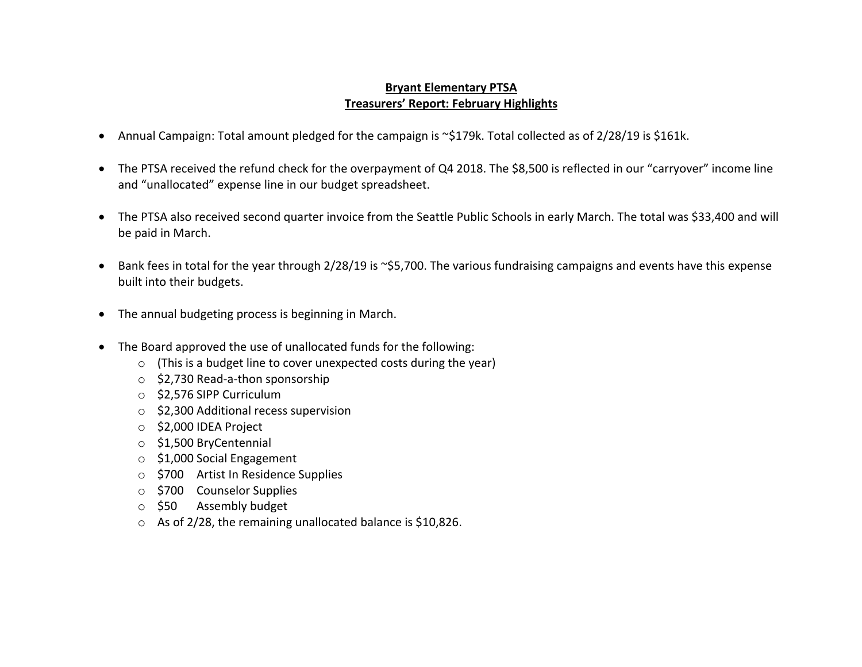## **Bryant Elementary PTSA Treasurers' Report: February Highlights**

- Annual Campaign: Total amount pledged for the campaign is ~\$179k. Total collected as of 2/28/19 is \$161k.
- The PTSA received the refund check for the overpayment of Q4 2018. The \$8,500 is reflected in our "carryover" income line and "unallocated" expense line in our budget spreadsheet.
- The PTSA also received second quarter invoice from the Seattle Public Schools in early March. The total was \$33,400 and will be paid in March.
- Bank fees in total for the year through 2/28/19 is ~\$5,700. The various fundraising campaigns and events have this expense built into their budgets.
- The annual budgeting process is beginning in March.
- The Board approved the use of unallocated funds for the following:
	- o (This is a budget line to cover unexpected costs during the year)
	- o \$2,730 Read-a-thon sponsorship
	- o \$2,576 SIPP Curriculum
	- o \$2,300 Additional recess supervision
	- o \$2,000 IDEA Project
	- o \$1,500 BryCentennial
	- o \$1,000 Social Engagement
	- o \$700 Artist In Residence Supplies
	- o \$700 Counselor Supplies
	- o \$50 Assembly budget
	- o As of 2/28, the remaining unallocated balance is \$10,826.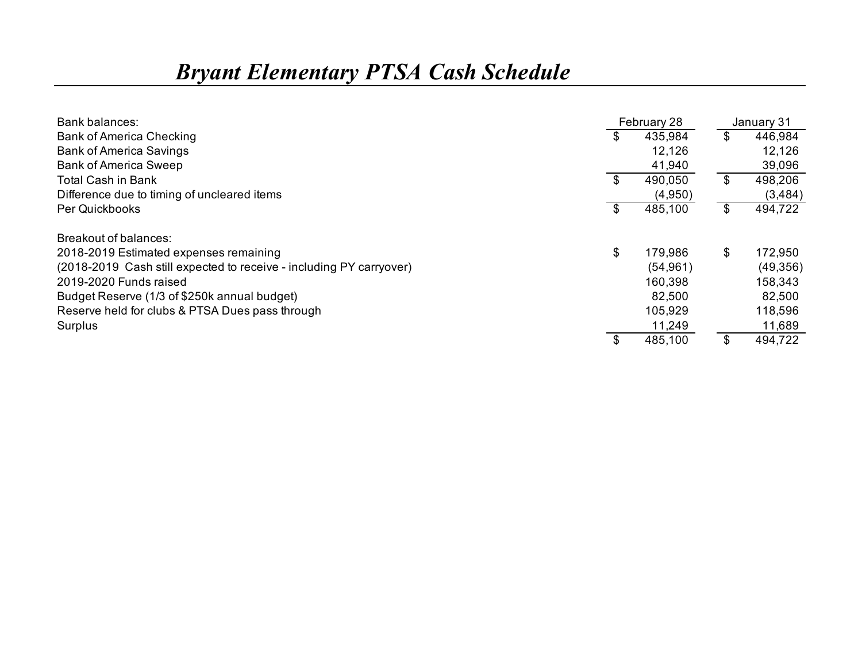## *Bryant Elementary PTSA Cash Schedule*

| Bank balances:                                                      |     | February 28 | January 31    |
|---------------------------------------------------------------------|-----|-------------|---------------|
| <b>Bank of America Checking</b>                                     | \$. | 435,984     | \$<br>446,984 |
| <b>Bank of America Savings</b>                                      |     | 12,126      | 12,126        |
| <b>Bank of America Sweep</b>                                        |     | 41,940      | 39,096        |
| Total Cash in Bank                                                  | \$  | 490,050     | \$<br>498,206 |
| Difference due to timing of uncleared items                         |     | (4,950)     | (3, 484)      |
| Per Quickbooks                                                      | \$  | 485,100     | \$<br>494,722 |
| Breakout of balances:                                               |     |             |               |
| 2018-2019 Estimated expenses remaining                              | \$  | 179,986     | \$<br>172,950 |
| (2018-2019 Cash still expected to receive - including PY carryover) |     | (54, 961)   | (49,356)      |
| 2019-2020 Funds raised                                              |     | 160,398     | 158,343       |
| Budget Reserve (1/3 of \$250k annual budget)                        |     | 82,500      | 82,500        |
| Reserve held for clubs & PTSA Dues pass through                     |     | 105,929     | 118,596       |
| Surplus                                                             |     | 11,249      | 11,689        |
|                                                                     |     | 485,100     | \$<br>494,722 |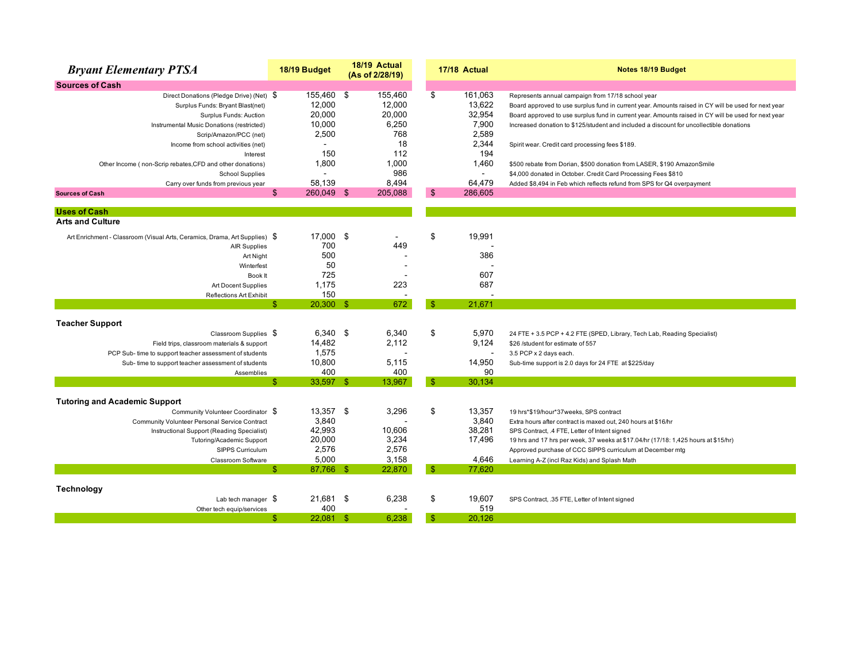| <b>Bryant Elementary PTSA</b>                                              | 18/19 Budget       |      | 18/19 Actual<br>(As of 2/28/19) |                | 17/18 Actual   | Notes 18/19 Budget                                                                                  |
|----------------------------------------------------------------------------|--------------------|------|---------------------------------|----------------|----------------|-----------------------------------------------------------------------------------------------------|
| <b>Sources of Cash</b>                                                     |                    |      |                                 |                |                |                                                                                                     |
| Direct Donations (Pledge Drive) (Net) \$                                   | 155,460 \$         |      | 155,460                         | \$             | 161,063        | Represents annual campaign from 17/18 school year                                                   |
| Surplus Funds: Bryant Blast(net)                                           | 12,000             |      | 12,000                          |                | 13,622         | Board approved to use surplus fund in current year. Amounts raised in CY will be used for next year |
| Surplus Funds: Auction                                                     | 20,000             |      | 20.000                          |                | 32,954         | Board approved to use surplus fund in current year. Amounts raised in CY will be used for next year |
| Instrumental Music Donations (restricted)                                  | 10,000             |      | 6,250                           |                | 7,900          | Increased donation to \$125/student and included a discount for uncollectible donations             |
| Scrip/Amazon/PCC (net)                                                     | 2,500              |      | 768                             |                | 2,589          |                                                                                                     |
| Income from school activities (net)                                        |                    |      | 18                              |                | 2,344          | Spirit wear. Credit card processing fees \$189.                                                     |
| Interest                                                                   | 150                |      | 112                             |                | 194            |                                                                                                     |
| Other Income (non-Scrip rebates, CFD and other donations)                  | 1,800              |      | 1,000                           |                | 1,460          | \$500 rebate from Dorian, \$500 donation from LASER, \$190 AmazonSmile                              |
| <b>School Supplies</b>                                                     | $\overline{a}$     |      | 986                             |                | $\blacksquare$ | \$4,000 donated in October. Credit Card Processing Fees \$810                                       |
| Carry over funds from previous year                                        | 58.139             |      | 8,494                           |                | 64.479         | Added \$8,494 in Feb which reflects refund from SPS for Q4 overpayment                              |
| <b>Sources of Cash</b>                                                     | \$<br>260,049 \$   |      | 205,088                         | $\mathfrak{s}$ | 286,605        |                                                                                                     |
| <b>Uses of Cash</b>                                                        |                    |      |                                 |                |                |                                                                                                     |
| <b>Arts and Culture</b>                                                    |                    |      |                                 |                |                |                                                                                                     |
| Art Enrichment - Classroom (Visual Arts, Ceramics, Drama, Art Supplies) \$ | 17,000             | -\$  |                                 | \$             | 19,991         |                                                                                                     |
| <b>AIR Supplies</b>                                                        | 700                |      | 449                             |                |                |                                                                                                     |
| Art Night                                                                  | 500                |      |                                 |                | 386            |                                                                                                     |
| Winterfest                                                                 | 50                 |      |                                 |                |                |                                                                                                     |
| Book It                                                                    | 725                |      |                                 |                | 607            |                                                                                                     |
| Art Docent Supplies                                                        | 1.175              |      | 223                             |                | 687            |                                                                                                     |
| <b>Reflections Art Exhibit</b>                                             | 150                |      |                                 |                |                |                                                                                                     |
|                                                                            | \$.<br>$20,300$ \$ |      | 672                             | -\$            | 21,671         |                                                                                                     |
| <b>Teacher Support</b>                                                     |                    |      |                                 |                |                |                                                                                                     |
| Classroom Supplies \$                                                      | 6,340 \$           |      | 6,340                           | \$             | 5,970          | 24 FTE + 3.5 PCP + 4.2 FTE (SPED, Library, Tech Lab, Reading Specialist)                            |
| Field trips, classroom materials & support                                 | 14,482             |      | 2,112                           |                | 9,124          | \$26 /student for estimate of 557                                                                   |
| PCP Sub- time to support teacher assessment of students                    | 1,575              |      |                                 |                | $\overline{a}$ | 3.5 PCP x 2 days each.                                                                              |
| Sub-time to support teacher assessment of students                         | 10,800             |      | 5,115                           |                | 14,950         | Sub-time support is 2.0 days for 24 FTE at \$225/day                                                |
| Assemblies                                                                 | 400                |      | 400                             |                | 90             |                                                                                                     |
|                                                                            | 33,597 \$<br>\$.   |      | 13,967                          | $\mathbf{\$}$  | 30.134         |                                                                                                     |
| <b>Tutoring and Academic Support</b>                                       |                    |      |                                 |                |                |                                                                                                     |
| Community Volunteer Coordinator \$                                         | 13,357 \$          |      | 3,296                           | \$             | 13,357         | 19 hrs*\$19/hour*37weeks, SPS contract                                                              |
| Community Volunteer Personal Service Contract                              | 3,840              |      |                                 |                | 3,840          | Extra hours after contract is maxed out, 240 hours at \$16/hr                                       |
| Instructional Support (Reading Specialist)                                 | 42,993             |      | 10,606                          |                | 38,281         | SPS Contract, .4 FTE, Letter of Intent signed                                                       |
| Tutoring/Academic Support                                                  | 20,000             |      | 3,234                           |                | 17,496         | 19 hrs and 17 hrs per week, 37 weeks at \$17.04/hr (17/18: 1,425 hours at \$15/hr)                  |
| SIPPS Curriculum                                                           | 2,576              |      | 2,576                           |                |                | Approved purchase of CCC SIPPS curriculum at December mtg                                           |
| Classroom Software                                                         | 5,000              |      | 3,158                           |                | 4,646          | Learning A-Z (incl Raz Kids) and Splash Math                                                        |
|                                                                            | \$<br>87,766 \$    |      | 22,870                          | $\mathbb{S}$   | 77,620         |                                                                                                     |
|                                                                            |                    |      |                                 |                |                |                                                                                                     |
| Technology                                                                 |                    |      |                                 |                |                |                                                                                                     |
| Lab tech manager $$$                                                       | 21.681 \$          |      | 6,238                           | \$             | 19.607         | SPS Contract, .35 FTE, Letter of Intent signed                                                      |
| Other tech equip/services                                                  | 400                |      |                                 |                | 519            |                                                                                                     |
|                                                                            | 22,081<br>\$       | - \$ | 6.238                           | $\mathbb{S}$   | 20,126         |                                                                                                     |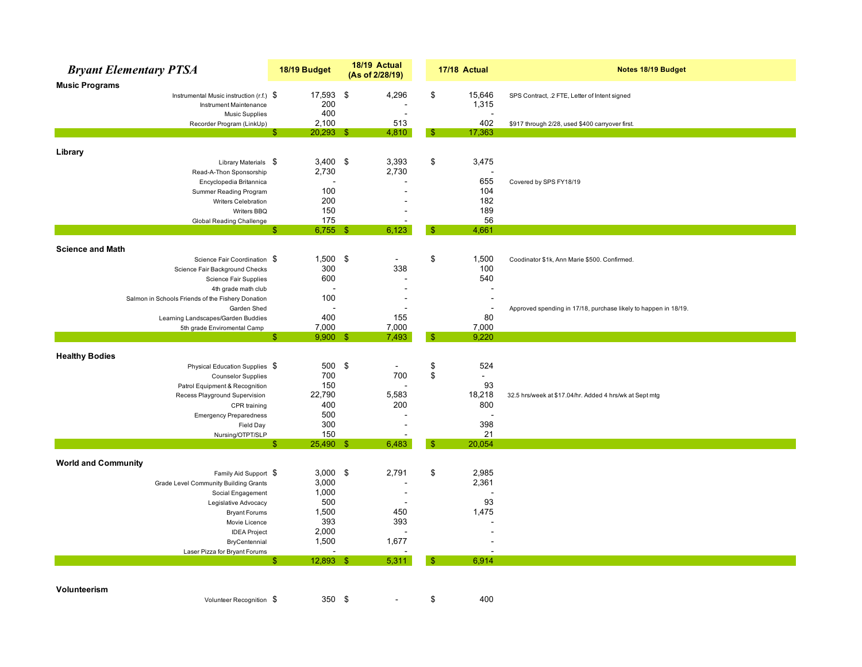|                            | <b>Bryant Elementary PTSA</b>                                        |    | 18/19 Budget  | 18/19 Actual<br>(As of 2/28/19) |               | 17/18 Actual    | Notes 18/19 Budget                                              |
|----------------------------|----------------------------------------------------------------------|----|---------------|---------------------------------|---------------|-----------------|-----------------------------------------------------------------|
| <b>Music Programs</b>      |                                                                      |    |               |                                 |               |                 |                                                                 |
|                            | Instrumental Music instruction $(r.f.)$ \$<br>Instrument Maintenance |    | 17,593<br>200 | \$<br>4,296                     | \$            | 15,646<br>1,315 | SPS Contract, .2 FTE, Letter of Intent signed                   |
|                            | <b>Music Supplies</b>                                                |    | 400           |                                 |               |                 |                                                                 |
|                            | Recorder Program (LinkUp)                                            |    | 2,100         | 513                             |               | 402             | \$917 through 2/28, used \$400 carryover first.                 |
|                            |                                                                      | S  | $20,293$ \$   | 4,810                           | -5            | 17,363          |                                                                 |
|                            |                                                                      |    |               |                                 |               |                 |                                                                 |
| Library                    |                                                                      |    |               |                                 |               |                 |                                                                 |
|                            | Library Materials \$                                                 |    | $3,400$ \$    | 3,393                           | \$            | 3,475           |                                                                 |
|                            | Read-A-Thon Sponsorship                                              |    | 2,730         | 2,730                           |               |                 |                                                                 |
|                            | Encyclopedia Britannica                                              |    | 100           |                                 |               | 655<br>104      | Covered by SPS FY18/19                                          |
|                            | Summer Reading Program                                               |    | 200           |                                 |               | 182             |                                                                 |
|                            | Writers Celebration<br>Writers BBQ                                   |    | 150           |                                 |               | 189             |                                                                 |
|                            | Global Reading Challenge                                             |    | 175           |                                 |               | 56              |                                                                 |
|                            |                                                                      | \$ | $6,755$ \$    | 6,123                           | \$            | 4,661           |                                                                 |
|                            |                                                                      |    |               |                                 |               |                 |                                                                 |
| <b>Science and Math</b>    |                                                                      |    |               |                                 |               |                 |                                                                 |
|                            | Science Fair Coordination \$                                         |    | $1,500$ \$    | $\sim$                          | \$            | 1,500           | Coodinator \$1k, Ann Marie \$500. Confirmed.                    |
|                            | Science Fair Background Checks                                       |    | 300           | 338                             |               | 100             |                                                                 |
|                            | Science Fair Supplies                                                |    | 600           |                                 |               | 540             |                                                                 |
|                            | 4th grade math club                                                  |    | ÷             | $\overline{\phantom{a}}$        |               |                 |                                                                 |
|                            | Salmon in Schools Friends of the Fishery Donation                    |    | 100           | $\overline{a}$                  |               |                 |                                                                 |
|                            | Garden Shed                                                          |    |               |                                 |               |                 | Approved spending in 17/18, purchase likely to happen in 18/19. |
|                            | Learning Landscapes/Garden Buddies                                   |    | 400           | 155                             |               | 80              |                                                                 |
|                            | 5th grade Enviromental Camp                                          |    | 7,000         | 7,000                           |               | 7,000           |                                                                 |
|                            |                                                                      | Я  | $9,900$ \$    | 7,493                           | -SS           | 9,220           |                                                                 |
|                            |                                                                      |    |               |                                 |               |                 |                                                                 |
| <b>Healthy Bodies</b>      |                                                                      |    |               |                                 |               |                 |                                                                 |
|                            | Physical Education Supplies \$                                       |    | 500 \$<br>700 | $\sim$<br>700                   | \$<br>\$      | 524<br>$\omega$ |                                                                 |
|                            | <b>Counselor Supplies</b><br>Patrol Equipment & Recognition          |    | 150           |                                 |               | 93              |                                                                 |
|                            | Recess Playground Supervision                                        |    | 22,790        | 5,583                           |               | 18,218          | 32.5 hrs/week at \$17.04/hr. Added 4 hrs/wk at Sept mtg         |
|                            | CPR training                                                         |    | 400           | 200                             |               | 800             |                                                                 |
|                            |                                                                      |    | 500           |                                 |               |                 |                                                                 |
|                            | <b>Emergency Preparedness</b><br>Field Day                           |    | 300           |                                 |               | 398             |                                                                 |
|                            | Nursing/OTPT/SLP                                                     |    | 150           |                                 |               | 21              |                                                                 |
|                            |                                                                      | \$ | 25,490 \$     | 6,483                           | $\frac{1}{2}$ | 20,054          |                                                                 |
|                            |                                                                      |    |               |                                 |               |                 |                                                                 |
| <b>World and Community</b> |                                                                      |    |               |                                 |               |                 |                                                                 |
|                            | Family Aid Support \$                                                |    | 3,000         | \$<br>2,791                     | \$            | 2,985           |                                                                 |
|                            | Grade Level Community Building Grants                                |    | 3,000         |                                 |               | 2,361           |                                                                 |
|                            | Social Engagement                                                    |    | 1,000         |                                 |               |                 |                                                                 |
|                            | Legislative Advocacy                                                 |    | 500           |                                 |               | 93              |                                                                 |
|                            | <b>Bryant Forums</b>                                                 |    | 1,500         | 450                             |               | 1,475           |                                                                 |
|                            | Movie Licence                                                        |    | 393           | 393                             |               |                 |                                                                 |
|                            | <b>IDEA Project</b>                                                  |    | 2,000         | $\overline{\phantom{a}}$        |               |                 |                                                                 |
|                            | BryCentennial                                                        |    | 1,500         | 1,677                           |               |                 |                                                                 |
|                            | Laser Pizza for Bryant Forums                                        |    |               |                                 |               |                 |                                                                 |
|                            |                                                                      | £. | $12,893$ \$   | 5,311                           | \$.           | 6,914           |                                                                 |
|                            |                                                                      |    |               |                                 |               |                 |                                                                 |
|                            |                                                                      |    |               |                                 |               |                 |                                                                 |
| Volunteerism               |                                                                      |    |               |                                 |               |                 |                                                                 |
|                            | Volunteer Recognition \$                                             |    | 350           | \$                              | \$            | 400             |                                                                 |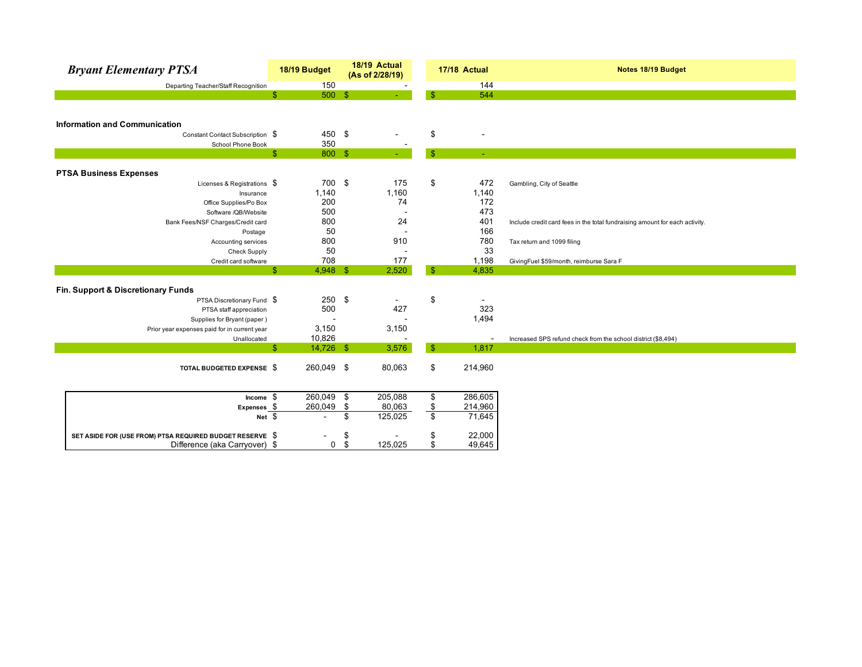| <b>Bryant Elementary PTSA</b>                            |                | 18/19 Budget             | 18/19 Actual<br>(As of 2/28/19) |                 | 17/18 Actual             | Notes 18/19 Budget                                                          |
|----------------------------------------------------------|----------------|--------------------------|---------------------------------|-----------------|--------------------------|-----------------------------------------------------------------------------|
| Departing Teacher/Staff Recognition                      |                | 150                      |                                 |                 | 144                      |                                                                             |
|                                                          | \$             | $500$ \$                 |                                 | \$.             | 544                      |                                                                             |
|                                                          |                |                          |                                 |                 |                          |                                                                             |
|                                                          |                |                          |                                 |                 |                          |                                                                             |
| <b>Information and Communication</b>                     |                |                          |                                 |                 |                          |                                                                             |
| Constant Contact Subscription \$                         |                | 450 \$                   |                                 | \$              |                          |                                                                             |
| School Phone Book                                        |                | 350                      |                                 |                 |                          |                                                                             |
|                                                          | $\mathfrak{S}$ | 800 \$                   |                                 | $\mathbb{S}$    | $\blacksquare$           |                                                                             |
|                                                          |                |                          |                                 |                 |                          |                                                                             |
| <b>PTSA Business Expenses</b>                            |                |                          |                                 |                 |                          |                                                                             |
| Licenses & Registrations $$$                             |                | 700 \$                   | 175                             | \$              | 472                      | Gambling, City of Seattle                                                   |
| Insurance                                                |                | 1,140                    | 1,160                           |                 | 1,140                    |                                                                             |
| Office Supplies/Po Box                                   |                | 200                      | 74                              |                 | 172                      |                                                                             |
| Software /QB/Website                                     |                | 500                      |                                 |                 | 473                      |                                                                             |
| Bank Fees/NSF Charges/Credit card                        |                | 800                      | 24                              |                 | 401                      | Include credit card fees in the total fundraising amount for each activity. |
| Postage                                                  |                | 50                       |                                 |                 | 166                      |                                                                             |
| Accounting services                                      |                | 800                      | 910                             |                 | 780                      | Tax return and 1099 filing                                                  |
| <b>Check Supply</b>                                      |                | 50                       |                                 |                 | 33                       |                                                                             |
| Credit card software                                     |                | 708                      | 177                             |                 | 1,198                    | GivingFuel \$59/month, reimburse Sara F                                     |
|                                                          | \$             | $4,948$ \$               | 2,520                           | $\mathsf{\$}$   | 4,835                    |                                                                             |
|                                                          |                |                          |                                 |                 |                          |                                                                             |
| Fin. Support & Discretionary Funds                       |                |                          |                                 |                 |                          |                                                                             |
| PTSA Discretionary Fund \$                               |                | $250$ \$                 |                                 | \$              | $\overline{\phantom{a}}$ |                                                                             |
| PTSA staff appreciation                                  |                | 500                      | 427                             |                 | 323                      |                                                                             |
| Supplies for Bryant (paper)                              |                |                          |                                 |                 | 1,494                    |                                                                             |
| Prior year expenses paid for in current year             |                | 3,150                    | 3,150                           |                 |                          |                                                                             |
| Unallocated                                              |                | 10,826                   |                                 |                 | $\overline{\phantom{a}}$ | Increased SPS refund check from the school district (\$8,494)               |
|                                                          | \$             | 14,726 \$                | 3,576                           | $\mathsf{\$}$   | 1,817                    |                                                                             |
|                                                          |                |                          |                                 |                 |                          |                                                                             |
| TOTAL BUDGETED EXPENSE \$                                |                | 260,049 \$               | 80,063                          | \$              | 214,960                  |                                                                             |
|                                                          |                |                          |                                 |                 |                          |                                                                             |
|                                                          |                |                          |                                 |                 |                          |                                                                             |
|                                                          |                |                          |                                 |                 |                          |                                                                             |
| Expenses \$                                              | Income \$      | 260,049 \$               | 205,088                         | \$              | 286,605                  |                                                                             |
|                                                          |                | 260,049                  | \$<br>80,063                    |                 | 214,960                  |                                                                             |
|                                                          | $Net \quad$    | $\overline{\phantom{a}}$ | \$<br>125,025                   | $\frac{\$}{\$}$ | 71,645                   |                                                                             |
| SET ASIDE FOR (USE FROM) PTSA REQUIRED BUDGET RESERVE \$ |                |                          | \$                              | \$              | 22,000                   |                                                                             |